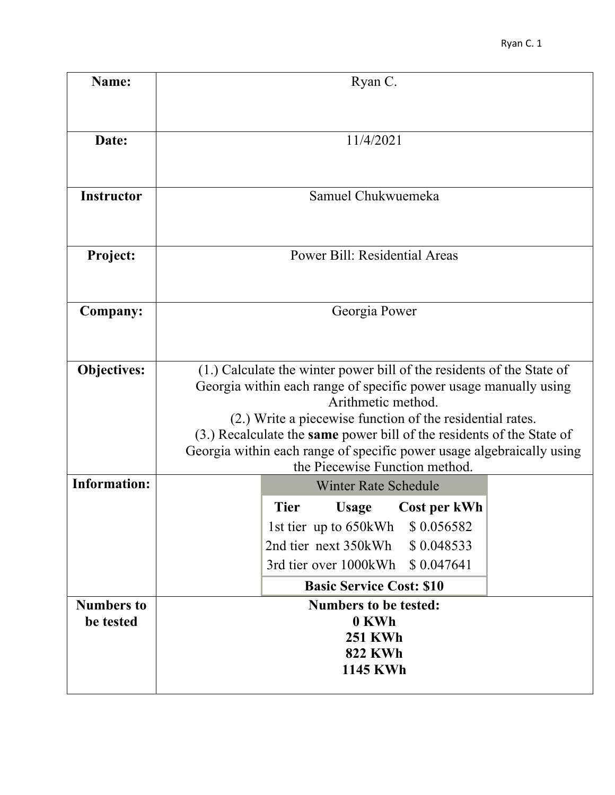| Name:                                    | Ryan C.                                                                                                                                                                                                                                                                                                                                                                                                          |
|------------------------------------------|------------------------------------------------------------------------------------------------------------------------------------------------------------------------------------------------------------------------------------------------------------------------------------------------------------------------------------------------------------------------------------------------------------------|
| Date:                                    | 11/4/2021                                                                                                                                                                                                                                                                                                                                                                                                        |
| <b>Instructor</b>                        | Samuel Chukwuemeka                                                                                                                                                                                                                                                                                                                                                                                               |
| <b>Project:</b>                          | <b>Power Bill: Residential Areas</b>                                                                                                                                                                                                                                                                                                                                                                             |
| Company:                                 | Georgia Power                                                                                                                                                                                                                                                                                                                                                                                                    |
| <b>Objectives:</b>                       | (1.) Calculate the winter power bill of the residents of the State of<br>Georgia within each range of specific power usage manually using<br>Arithmetic method.<br>(2.) Write a piecewise function of the residential rates.<br>(3.) Recalculate the same power bill of the residents of the State of<br>Georgia within each range of specific power usage algebraically using<br>the Piecewise Function method. |
| <b>Information:</b><br><b>Numbers to</b> | <b>Winter Rate Schedule</b><br><b>Tier</b><br>Cost per kWh<br><b>Usage</b><br>\$0.056582<br>1st tier up to 650kWh<br>2nd tier next 350kWh<br>\$0.048533<br>\$0.047641<br>3rd tier over 1000kWh<br><b>Basic Service Cost: \$10</b>                                                                                                                                                                                |
| be tested                                | <b>Numbers to be tested:</b><br>0 KWh<br><b>251 KWh</b><br><b>822 KWh</b><br><b>1145 KWh</b>                                                                                                                                                                                                                                                                                                                     |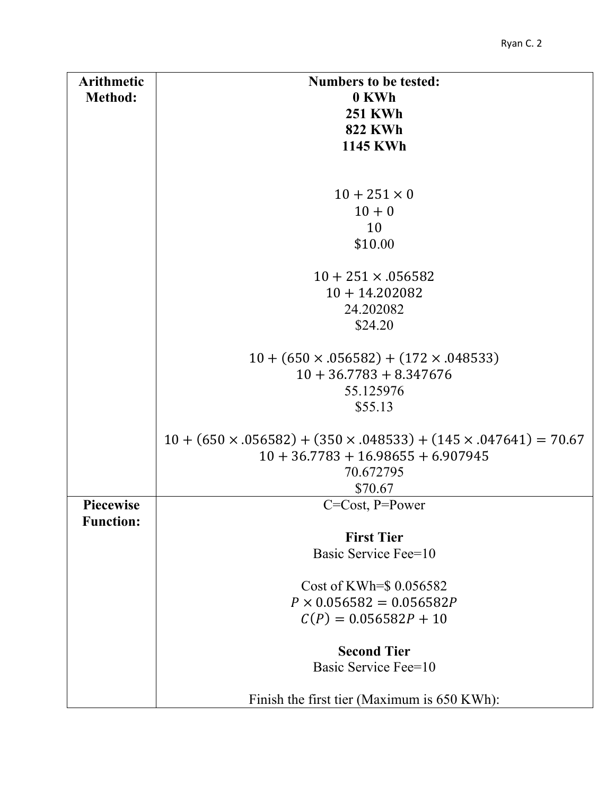| <b>Arithmetic</b>                    | <b>Numbers to be tested:</b>                                                      |
|--------------------------------------|-----------------------------------------------------------------------------------|
| <b>Method:</b>                       | 0 KWh                                                                             |
|                                      | <b>251 KWh</b>                                                                    |
|                                      | <b>822 KWh</b>                                                                    |
|                                      | <b>1145 KWh</b>                                                                   |
|                                      |                                                                                   |
|                                      |                                                                                   |
|                                      | $10 + 251 \times 0$                                                               |
|                                      | $10 + 0$                                                                          |
|                                      | 10                                                                                |
|                                      | \$10.00                                                                           |
|                                      | $10 + 251 \times 0.056582$                                                        |
|                                      | $10 + 14.202082$                                                                  |
|                                      | 24.202082                                                                         |
|                                      | \$24.20                                                                           |
|                                      | $10 + (650 \times .056582) + (172 \times .048533)$                                |
|                                      | $10 + 36.7783 + 8.347676$                                                         |
|                                      | 55.125976                                                                         |
|                                      | \$55.13                                                                           |
|                                      |                                                                                   |
|                                      | $10 + (650 \times .056582) + (350 \times .048533) + (145 \times .047641) = 70.67$ |
|                                      | $10 + 36.7783 + 16.98655 + 6.907945$                                              |
|                                      | 70.672795                                                                         |
|                                      | \$70.67                                                                           |
| <b>Piecewise</b><br><b>Function:</b> | $C=Cost, P=Power$                                                                 |
|                                      | <b>First Tier</b>                                                                 |
|                                      | Basic Service Fee=10                                                              |
|                                      |                                                                                   |
|                                      | Cost of KWh= $$0.056582$                                                          |
|                                      | $P \times 0.056582 = 0.056582P$                                                   |
|                                      | $C(P) = 0.056582P + 10$                                                           |
|                                      | <b>Second Tier</b>                                                                |
|                                      | Basic Service Fee=10                                                              |
|                                      | Finish the first tier (Maximum is 650 KWh):                                       |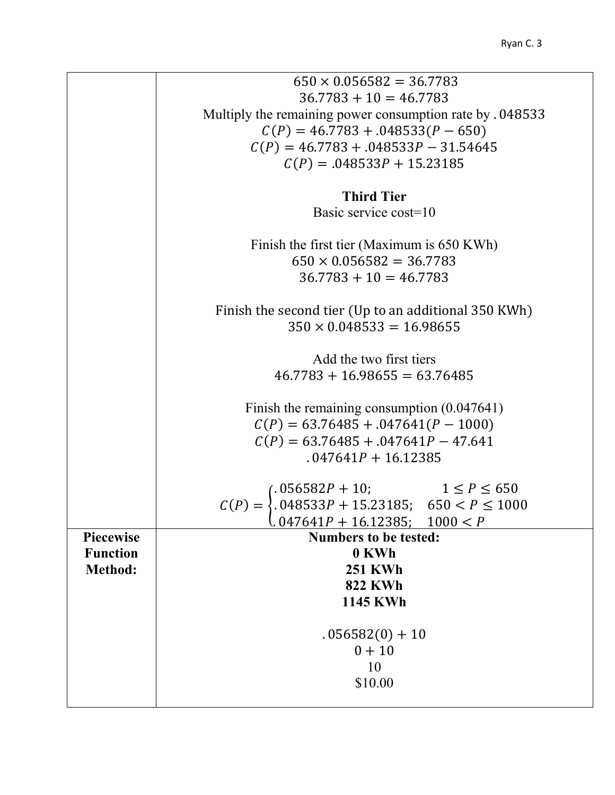|                  | $650 \times 0.056582 = 36.7783$                                                                                                                                                                                   |
|------------------|-------------------------------------------------------------------------------------------------------------------------------------------------------------------------------------------------------------------|
|                  | $36.7783 + 10 = 46.7783$                                                                                                                                                                                          |
|                  | Multiply the remaining power consumption rate by . 048533                                                                                                                                                         |
|                  | $C(P) = 46.7783 + .048533(P - 650)$                                                                                                                                                                               |
|                  | $C(P) = 46.7783 + .048533P - 31.54645$                                                                                                                                                                            |
|                  | $C(P) = .048533P + 15.23185$                                                                                                                                                                                      |
|                  |                                                                                                                                                                                                                   |
|                  | <b>Third Tier</b>                                                                                                                                                                                                 |
|                  | Basic service cost=10                                                                                                                                                                                             |
|                  | Finish the first tier (Maximum is 650 KWh)                                                                                                                                                                        |
|                  | $650 \times 0.056582 = 36.7783$                                                                                                                                                                                   |
|                  | $36.7783 + 10 = 46.7783$                                                                                                                                                                                          |
|                  |                                                                                                                                                                                                                   |
|                  | Finish the second tier (Up to an additional 350 KWh)                                                                                                                                                              |
|                  | $350 \times 0.048533 = 16.98655$                                                                                                                                                                                  |
|                  |                                                                                                                                                                                                                   |
|                  | Add the two first tiers                                                                                                                                                                                           |
|                  | $46.7783 + 16.98655 = 63.76485$                                                                                                                                                                                   |
|                  | Finish the remaining consumption $(0.047641)$                                                                                                                                                                     |
|                  | $C(P) = 63.76485 + .047641(P - 1000)$                                                                                                                                                                             |
|                  | $C(P) = 63.76485 + .047641P - 47.641$                                                                                                                                                                             |
|                  | $.047641P + 16.12385$                                                                                                                                                                                             |
|                  |                                                                                                                                                                                                                   |
|                  |                                                                                                                                                                                                                   |
|                  | $\label{eq:cap} \begin{array}{ll} C(P)= \left\{ \begin{array}{ll} 0.056582P+10; & 1 \leq P \leq 650 \\ 0.048533P+15.23185; & 650 < P \leq 1000 \\ 0.047641P+16.12385; & 1000 < P \end{array} \right. \end{array}$ |
| <b>Piecewise</b> | <b>Numbers to be tested:</b>                                                                                                                                                                                      |
| <b>Function</b>  | 0 KWh                                                                                                                                                                                                             |
| Method:          | <b>251 KWh</b>                                                                                                                                                                                                    |
|                  | <b>822 KWh</b>                                                                                                                                                                                                    |
|                  | <b>1145 KWh</b>                                                                                                                                                                                                   |
|                  |                                                                                                                                                                                                                   |
|                  | $.056582(0) + 10$                                                                                                                                                                                                 |
|                  | $0 + 10$                                                                                                                                                                                                          |
|                  | 10                                                                                                                                                                                                                |
|                  | \$10.00                                                                                                                                                                                                           |
|                  |                                                                                                                                                                                                                   |